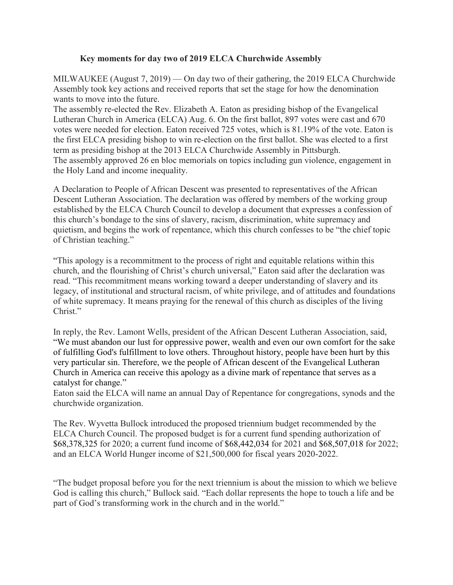## **Key moments for day two of 2019 ELCA Churchwide Assembly**

MILWAUKEE (August 7, 2019) — On day two of their gathering, the 2019 ELCA Churchwide Assembly took key actions and received reports that set the stage for how the denomination wants to move into the future.

The assembly re-elected the Rev. Elizabeth A. Eaton as presiding bishop of the Evangelical Lutheran Church in America (ELCA) Aug. 6. On the first ballot, 897 votes were cast and 670 votes were needed for election. Eaton received 725 votes, which is 81.19% of the vote. Eaton is the first ELCA presiding bishop to win re-election on the first ballot. She was elected to a first term as presiding bishop at the 2013 ELCA Churchwide Assembly in Pittsburgh. The assembly approved 26 en bloc memorials on topics including gun violence, engagement in the Holy Land and income inequality.

A Declaration to People of African Descent was presented to representatives of the African Descent Lutheran Association. The declaration was offered by members of the working group established by the ELCA Church Council to develop a document that expresses a confession of this church's bondage to the sins of slavery, racism, discrimination, white supremacy and quietism, and begins the work of repentance, which this church confesses to be "the chief topic of Christian teaching."

"This apology is a recommitment to the process of right and equitable relations within this church, and the flourishing of Christ's church universal," Eaton said after the declaration was read. "This recommitment means working toward a deeper understanding of slavery and its legacy, of institutional and structural racism, of white privilege, and of attitudes and foundations of white supremacy. It means praying for the renewal of this church as disciples of the living Christ."

In reply, the Rev. Lamont Wells, president of the African Descent Lutheran Association, said, "We must abandon our lust for oppressive power, wealth and even our own comfort for the sake of fulfilling God's fulfillment to love others. Throughout history, people have been hurt by this very particular sin. Therefore, we the people of African descent of the Evangelical Lutheran Church in America can receive this apology as a divine mark of repentance that serves as a catalyst for change."

Eaton said the ELCA will name an annual Day of Repentance for congregations, synods and the churchwide organization.

The Rev. Wyvetta Bullock introduced the proposed triennium budget recommended by the ELCA Church Council. The proposed budget is for a current fund spending authorization of \$68,378,325 for 2020; a current fund income of \$68,442,034 for 2021 and \$68,507,018 for 2022; and an ELCA World Hunger income of \$21,500,000 for fiscal years 2020-2022.

"The budget proposal before you for the next triennium is about the mission to which we believe God is calling this church," Bullock said. "Each dollar represents the hope to touch a life and be part of God's transforming work in the church and in the world."